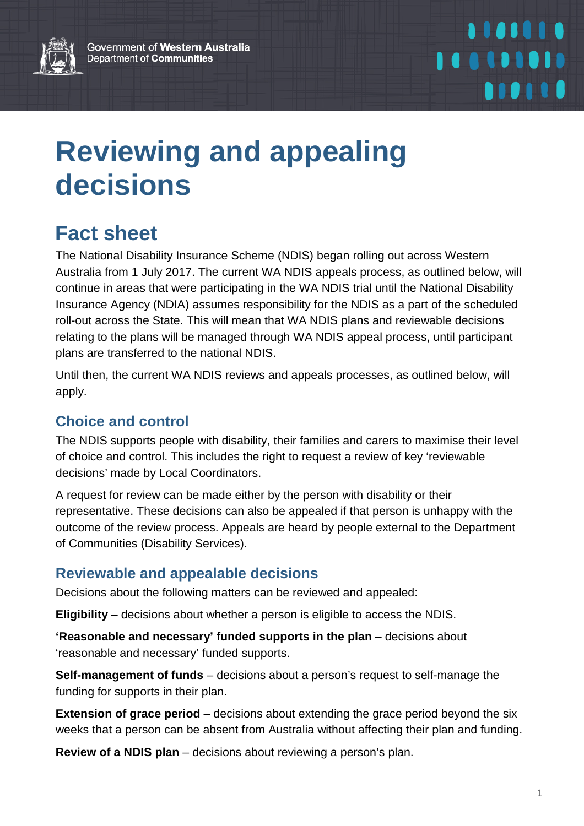Government of Western Australia Department of Communities



# 1101010 100101010 *<u>BIOITH</u>*

# **Reviewing and appealing decisions**

# **Fact sheet**

The National Disability Insurance Scheme (NDIS) began rolling out across Western Australia from 1 July 2017. The current WA NDIS appeals process, as outlined below, will continue in areas that were participating in the WA NDIS trial until the National Disability Insurance Agency (NDIA) assumes responsibility for the NDIS as a part of the scheduled roll-out across the State. This will mean that WA NDIS plans and reviewable decisions relating to the plans will be managed through WA NDIS appeal process, until participant plans are transferred to the national NDIS.

Until then, the current WA NDIS reviews and appeals processes, as outlined below, will apply.

## **Choice and control**

The NDIS supports people with disability, their families and carers to maximise their level of choice and control. This includes the right to request a review of key 'reviewable decisions' made by Local Coordinators.

A request for review can be made either by the person with disability or their representative. These decisions can also be appealed if that person is unhappy with the outcome of the review process. Appeals are heard by people external to the Department of Communities (Disability Services).

### **Reviewable and appealable decisions**

Decisions about the following matters can be reviewed and appealed:

**Eligibility** – decisions about whether a person is eligible to access the NDIS.

**'Reasonable and necessary' funded supports in the plan** – decisions about 'reasonable and necessary' funded supports.

**Self-management of funds** – decisions about a person's request to self-manage the funding for supports in their plan.

**Extension of grace period** – decisions about extending the grace period beyond the six weeks that a person can be absent from Australia without affecting their plan and funding.

**Review of a NDIS plan** – decisions about reviewing a person's plan.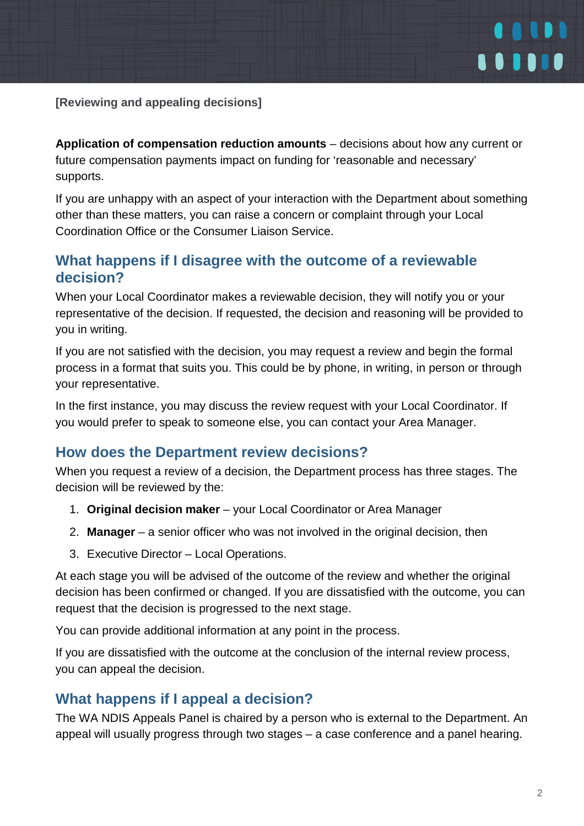

**[Reviewing and appealing decisions]**

**Application of compensation reduction amounts** – decisions about how any current or future compensation payments impact on funding for 'reasonable and necessary' supports.

If you are unhappy with an aspect of your interaction with the Department about something other than these matters, you can raise a concern or complaint through your Local Coordination Office or the Consumer Liaison Service.

#### **What happens if I disagree with the outcome of a reviewable decision?**

When your Local Coordinator makes a reviewable decision, they will notify you or your representative of the decision. If requested, the decision and reasoning will be provided to you in writing.

If you are not satisfied with the decision, you may request a review and begin the formal process in a format that suits you. This could be by phone, in writing, in person or through your representative.

In the first instance, you may discuss the review request with your Local Coordinator. If you would prefer to speak to someone else, you can contact your Area Manager.

#### **How does the Department review decisions?**

When you request a review of a decision, the Department process has three stages. The decision will be reviewed by the:

- 1. **Original decision maker** your Local Coordinator or Area Manager
- 2. **Manager**  a senior officer who was not involved in the original decision, then
- 3. Executive Director Local Operations.

At each stage you will be advised of the outcome of the review and whether the original decision has been confirmed or changed. If you are dissatisfied with the outcome, you can request that the decision is progressed to the next stage.

You can provide additional information at any point in the process.

If you are dissatisfied with the outcome at the conclusion of the internal review process, you can appeal the decision.

### **What happens if I appeal a decision?**

The WA NDIS Appeals Panel is chaired by a person who is external to the Department. An appeal will usually progress through two stages – a case conference and a panel hearing.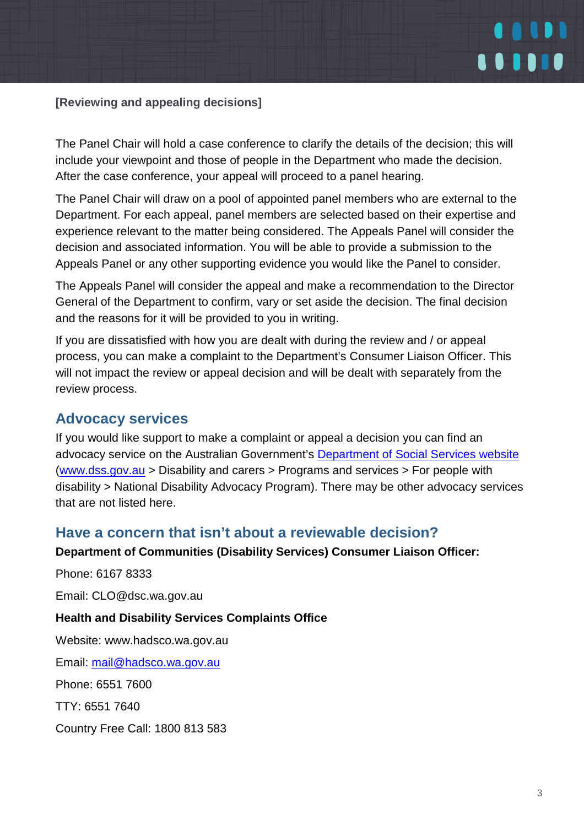

**[Reviewing and appealing decisions]**

The Panel Chair will hold a case conference to clarify the details of the decision; this will include your viewpoint and those of people in the Department who made the decision. After the case conference, your appeal will proceed to a panel hearing.

The Panel Chair will draw on a pool of appointed panel members who are external to the Department. For each appeal, panel members are selected based on their expertise and experience relevant to the matter being considered. The Appeals Panel will consider the decision and associated information. You will be able to provide a submission to the Appeals Panel or any other supporting evidence you would like the Panel to consider.

The Appeals Panel will consider the appeal and make a recommendation to the Director General of the Department to confirm, vary or set aside the decision. The final decision and the reasons for it will be provided to you in writing.

If you are dissatisfied with how you are dealt with during the review and / or appeal process, you can make a complaint to the Department's Consumer Liaison Officer. This will not impact the review or appeal decision and will be dealt with separately from the review process.

#### **Advocacy services**

If you would like support to make a complaint or appeal a decision you can find an advocacy service on the Australian Government's [Department of Social Services website](https://disabilityadvocacyfinder.dss.gov.au/disability/ndap/) [\(www.dss.gov.au](http://www.dss.gov.au/) > Disability and carers > Programs and services > For people with disability > National Disability Advocacy Program). There may be other advocacy services that are not listed here.

#### **Have a concern that isn't about a reviewable decision?**

#### **Department of Communities (Disability Services) Consumer Liaison Officer:**

Phone: 6167 8333

Email: [CLO@dsc.wa.gov.au](mailto:CLO@dsc.wa.gov.au)

#### **Health and Disability Services Complaints Office**

Website: [www.hadsco.wa.gov.au](http://www.hadsco.wa.gov.au/)

Email: [mail@hadsco.wa.gov.au](mailto:mail@hadsco.wa.gov.au)

Phone: 6551 7600

TTY: 6551 7640

Country Free Call: 1800 813 583